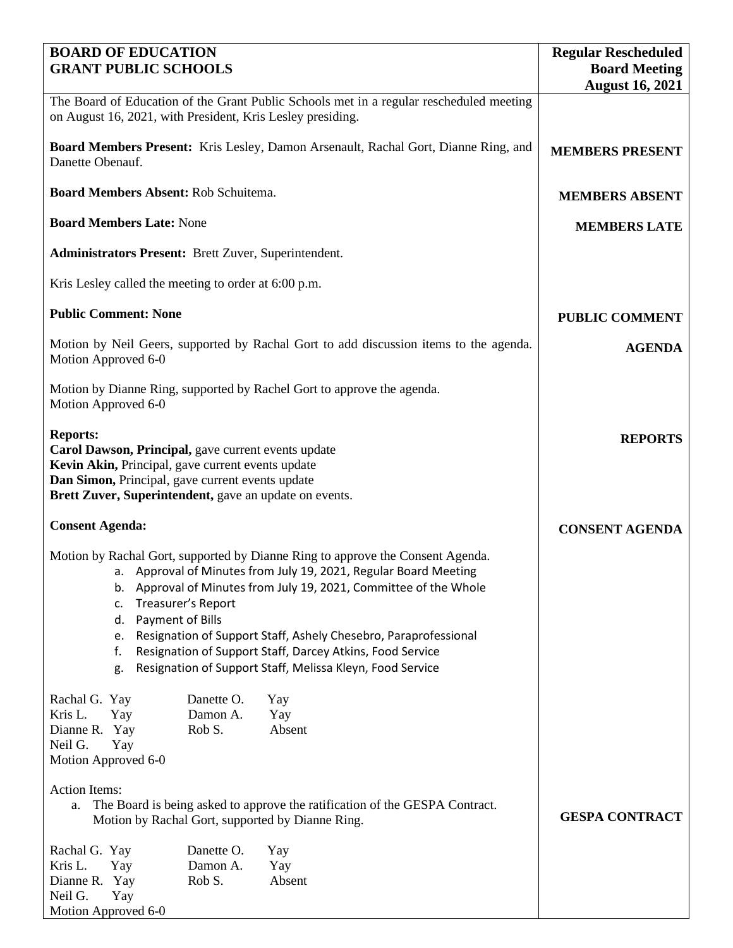| <b>BOARD OF EDUCATION</b><br><b>GRANT PUBLIC SCHOOLS</b>                                                                                                                                                                                                                                                                                                                                                                                                                                        | <b>Regular Rescheduled</b><br><b>Board Meeting</b> |
|-------------------------------------------------------------------------------------------------------------------------------------------------------------------------------------------------------------------------------------------------------------------------------------------------------------------------------------------------------------------------------------------------------------------------------------------------------------------------------------------------|----------------------------------------------------|
|                                                                                                                                                                                                                                                                                                                                                                                                                                                                                                 | <b>August 16, 2021</b>                             |
| The Board of Education of the Grant Public Schools met in a regular rescheduled meeting<br>on August 16, 2021, with President, Kris Lesley presiding.                                                                                                                                                                                                                                                                                                                                           |                                                    |
| Board Members Present: Kris Lesley, Damon Arsenault, Rachal Gort, Dianne Ring, and<br>Danette Obenauf.                                                                                                                                                                                                                                                                                                                                                                                          | <b>MEMBERS PRESENT</b>                             |
| Board Members Absent: Rob Schuitema.                                                                                                                                                                                                                                                                                                                                                                                                                                                            | <b>MEMBERS ABSENT</b>                              |
| <b>Board Members Late: None</b>                                                                                                                                                                                                                                                                                                                                                                                                                                                                 | <b>MEMBERS LATE</b>                                |
| <b>Administrators Present: Brett Zuver, Superintendent.</b>                                                                                                                                                                                                                                                                                                                                                                                                                                     |                                                    |
| Kris Lesley called the meeting to order at 6:00 p.m.                                                                                                                                                                                                                                                                                                                                                                                                                                            |                                                    |
| <b>Public Comment: None</b>                                                                                                                                                                                                                                                                                                                                                                                                                                                                     | <b>PUBLIC COMMENT</b>                              |
| Motion by Neil Geers, supported by Rachal Gort to add discussion items to the agenda.<br>Motion Approved 6-0                                                                                                                                                                                                                                                                                                                                                                                    | <b>AGENDA</b>                                      |
| Motion by Dianne Ring, supported by Rachel Gort to approve the agenda.<br>Motion Approved 6-0                                                                                                                                                                                                                                                                                                                                                                                                   |                                                    |
| <b>Reports:</b><br>Carol Dawson, Principal, gave current events update<br>Kevin Akin, Principal, gave current events update<br>Dan Simon, Principal, gave current events update<br>Brett Zuver, Superintendent, gave an update on events.                                                                                                                                                                                                                                                       | <b>REPORTS</b>                                     |
| <b>Consent Agenda:</b>                                                                                                                                                                                                                                                                                                                                                                                                                                                                          | <b>CONSENT AGENDA</b>                              |
| Motion by Rachal Gort, supported by Dianne Ring to approve the Consent Agenda.<br>a. Approval of Minutes from July 19, 2021, Regular Board Meeting<br>Approval of Minutes from July 19, 2021, Committee of the Whole<br>b.<br>Treasurer's Report<br>c.<br>Payment of Bills<br>d.<br>Resignation of Support Staff, Ashely Chesebro, Paraprofessional<br>e.<br>Resignation of Support Staff, Darcey Atkins, Food Service<br>f.<br>Resignation of Support Staff, Melissa Kleyn, Food Service<br>g. |                                                    |
| Rachal G. Yay<br>Danette O.<br>Yay<br>Kris L.<br>Damon A.<br>Yay<br>Yay<br>Rob S.<br>Absent<br>Dianne R. Yay<br>Neil G.<br>Yay<br>Motion Approved 6-0<br><b>Action Items:</b><br>The Board is being asked to approve the ratification of the GESPA Contract.<br>a.<br>Motion by Rachal Gort, supported by Dianne Ring.<br>Danette O.<br>Rachal G. Yay<br>Yay<br>Kris L.<br>Damon A.<br>Yay<br>Yay                                                                                               | <b>GESPA CONTRACT</b>                              |
| Rob S.<br>Absent<br>Dianne R. Yay<br>Neil G.<br>Yay<br>Motion Approved 6-0                                                                                                                                                                                                                                                                                                                                                                                                                      |                                                    |